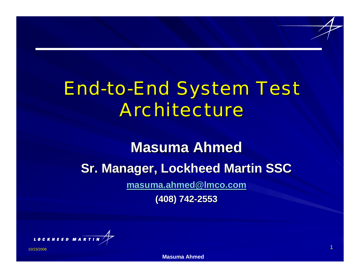# **End-to-End System Test** *Architecture Architecture*

# **Masuma Ahmed Masuma AhmedSr. Manager, Lockheed Martin SSC [masuma.ahmed@lmco.com](mailto:masuma.ahmed@lmco.com) (408) 742 (408) 742-2553**



**Masuma Ahmed**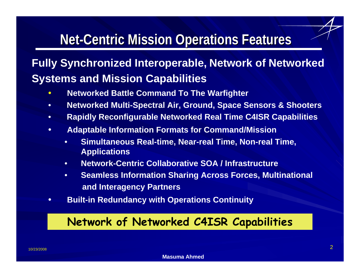# **Net-Centric Mission Operations Features**

## **Fully Synchronized Interoperable, Network of Networked Systems and Mission Capabilities**

- $\bullet$ **Networked Battle Command To The Warfighter**
- •**Networked Multi-Spectral Air, Ground, Space Sensors & Shooters**
- •**Rapidly Reconfigurable Networked Real Time C4ISR Capabilities**
- • **Adaptable Information Formats for Command/Mission**
	- • **Simultaneous Real-time, Near-real Time, Non-real Time, Applications**
	- •**Network-Centric Collaborative SOA / Infrastructure**
	- • **Seamless Information Sharing Across Forces, Multinational and Interagency Partners**
- $\bullet$ **Built-in Redundancy with Operations Continuity**

#### **Network of Networked C4ISR Capabilities**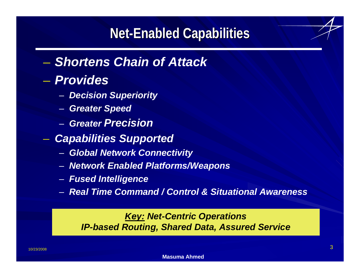# **Net-Enabled Capabilities**

## Ñ *Shortens Chain of Attack*

### Ñ *Provides*

- –*Decision Superiority*
- –*Greater Speed*
- *Greater Precision*
- *Capabilities Supported*
	- **Hart Communication** *Global Network Connectivity*
	- **Hart Communication** *Network Enabled Platforms/Weapons*
	- –*Fused Intelligence*
	- *Real Time Command / Control & Situational Awareness*

#### *Key: Net-Centric Operations IP-based Routing, Shared Data, Assured Service*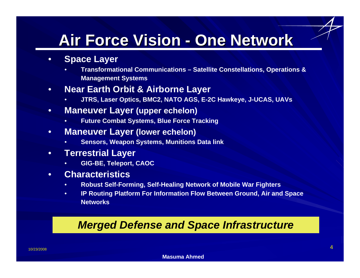# **Air Force Vision - One Network**

- $\bullet$  **Space Layer**
	- • **Transformational Communications – Satellite Constellations, Operations & Management Systems**
- • **Near Earth Orbit & Airborne Layer**
	- •**JTRS, Laser Optics, BMC2, NATO AGS, E-2C Hawkeye, J-UCAS, UAVs**
- • **Maneuver Layer (upper echelon)**
	- •**Future Combat Systems, Blue Force Tracking**
- • **Maneuver Layer (lower echelon)**
	- •**Sensors, Weapon Systems, Munitions Data link**
- • **Terrestrial Layer**
	- •**GIG-BE, Teleport, CAOC**
- • **Characteristics**
	- •**Robust Self-Forming, Self-Healing Network of Mobile War Fighters**
	- • **IP Routing Platform For Information Flow Between Ground, Air and Space Networks**

#### *Merged Defense and Space Infrastructure*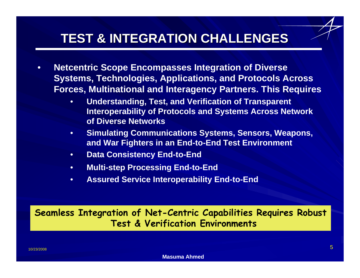## **TEST & INTEGRATION CHALLENGES TEST & INTEGRATION CHALLENGES**

- • **Netcentric Scope Encompasses Integration of Diverse Systems, Technologies, Applications, and Protocols Across Forces, Multinational and Interagency Partners. This Requires**
	- • **Understanding, Test, and Verification of Transparent Interoperability of Protocols and Systems Across Network of Diverse Networks**
	- • **Simulating Communications Systems, Sensors, Weapons, and War Fighters in an End-to-End Test Environment**
	- •**Data Consistency End-to-End**
	- •**Multi-step Processing End-to-End**
	- •**Assured Service Interoperability End-to-End**

**Seamless Integration of Net-Centric Capabilities Requires Robust Test & Verification Environments**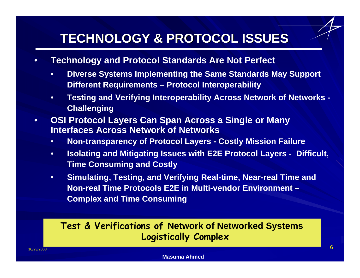## **TECHNOLOGY & PROTOCOL ISSUES TECHNOLOGY & PROTOCOL ISSUES**

- • **Technology and Protocol Standards Are Not Perfect**
	- • **Diverse Systems Implementing the Same Standards May Support Different Requirements – Protocol Interoperability**
	- • **Testing and Verifying Interoperability Across Network of Networks - Challenging**
- • **OSI Protocol Layers Can Span Across a Single or Many Interfaces Across Network of Networks**
	- •**Non-transparency of Protocol Layers - Costly Mission Failure**
	- • **Isolating and Mitigating Issues with E2E Protocol Layers - Difficult, Time Consuming and Costly**
	- $\bullet$  **Simulating, Testing, and Verifying Real-time, Near-real Time and Non-real Time Protocols E2E in Multi-vendor Environment – Complex and Time Consuming**

#### **Test & Verifications of Network of Networked Systems Logistically Complex**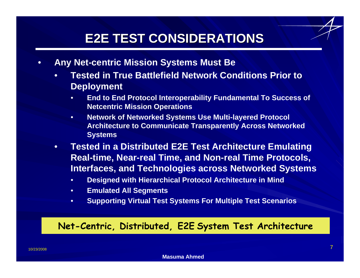## **E2E TEST CONSIDERATIONS E2E TEST CONSIDERATIONS**

- • **Any Net-centric Mission Systems Must Be** 
	- • **Tested in True Battlefield Network Conditions Prior to Deployment**
		- • **End to End Protocol Interoperability Fundamental To Success of Netcentric Mission Operations**
		- • **Network of Networked Systems Use Multi-layered Protocol Architecture to Communicate Transparently Across Networked Systems**
	- • **Tested in a Distributed E2E Test Architecture Emulating Real-time, Near-real Time, and Non-real Time Protocols, Interfaces, and Technologies across Networked Systems**
		- •**Designed with Hierarchical Protocol Architecture in Mind**
		- •**Emulated All Segments**
		- •**Supporting Virtual Test Systems For Multiple Test Scenarios**

#### **Net-Centric, Distributed, E2E System Test Architecture**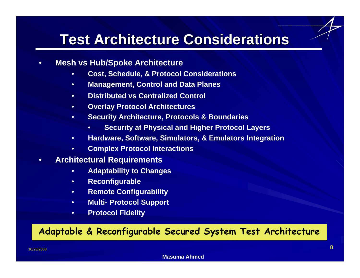# **Test Architecture Considerations Test Architecture Considerations**

- • **Mesh vs Hub/Spoke Architecture**
	- •**Cost, Schedule, & Protocol Considerations**
	- •**Management, Control and Data Planes**
	- •**Distributed vs Centralized Control**
	- •**Overlay Protocol Architectures**
	- • **Security Architecture, Protocols & Boundaries**
		- •**Security at Physical and Higher Protocol Layers**
	- •**Hardware, Software, Simulators, & Emulators Integration**
	- •**Complex Protocol Interactions**
- • **Architectural Requirements**
	- •**Adaptability to Changes**
	- •**Reconfigurable**
	- •**Remote Configurability**
	- •**Multi- Protocol Support**
	- •**Protocol Fidelity**

#### **Adaptable & Reconfigurable Secured System Test Architecture**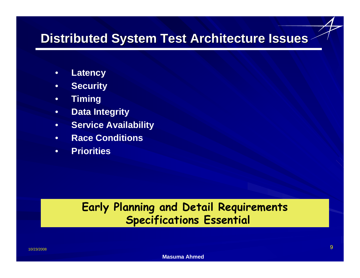## **Distributed System Test Architecture Issues Distributed System Test Architecture Issues**

- •**Latency**
- •**Security**
- •**Timing**
- •**Data Integrity**
- •**Service Availability**
- •**Race Conditions**
- •**Priorities**

### **Early Planning and Detail Requirements Specifications Essential**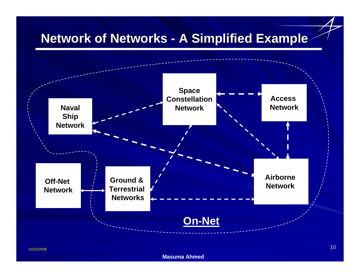## **Network of Networks - A Simplified Example**

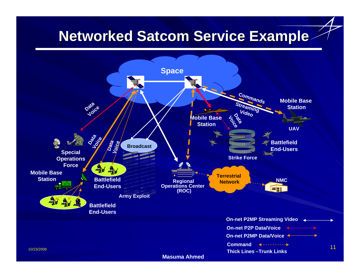# **Networked Satcom Service Example**



**Masuma Ahmed**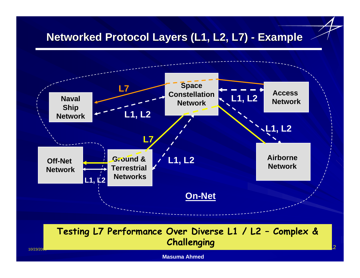#### **Networked Protocol Layers (L1, L2, L7) - Example**



#### $\sim$  12  $\sim$  12  $\sim$  12  $\sim$  12  $\sim$  12  $\sim$  12  $\sim$  12  $\sim$  12  $\sim$  12  $\sim$  12  $\sim$  12  $\sim$  12  $\sim$  12  $\sim$  12  $\sim$  12  $\sim$  12  $\sim$  12  $\sim$  12  $\sim$  12  $\sim$  12  $\sim$  12  $\sim$  12  $\sim$  12  $\sim$  12  $\sim$  12  $\sim$  12  $\sim$  12  $\sim$  **Testing L7 Performance Over Diverse L1 / L2 – Complex & Challenging**

**Masuma Ahmed**

10/23/20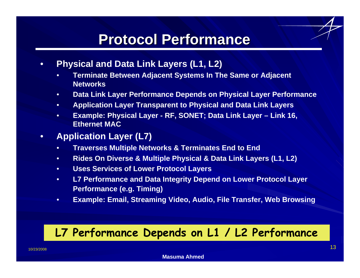# **Protocol Performance Protocol Performance**

- • **Physical and Data Link Layers (L1, L2)** 
	- • **Terminate Between Adjacent Systems In The Same or Adjacent Networks**
	- •**Data Link Layer Performance Depends on Physical Layer Performance**
	- •**Application Layer Transparent to Physical and Data Link Layers**
	- • **Example: Physical Layer - RF, SONET; Data Link Layer – Link 16, Ethernet MAC**
- • **Application Layer (L7)**
	- •**Traverses Multiple Networks & Terminates End to End**
	- •**Rides On Diverse & Multiple Physical & Data Link Layers (L1, L2)**
	- •**Uses Services of Lower Protocol Layers**
	- • **L7 Performance and Data Integrity Depend on Lower Protocol Layer Performance (e.g. Timing)**
	- •**Example: Email, Streaming Video, Audio, File Transfer, Web Browsing**

## **L7 Performance Depends on L1 / L2 Performance**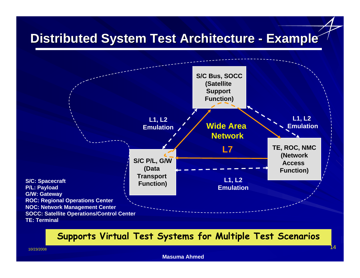## **Distributed System Test Architecture - Example**



#### **Supports Virtual Test Systems for Multiple Test Scenarios**

#### **Masuma Ahmed**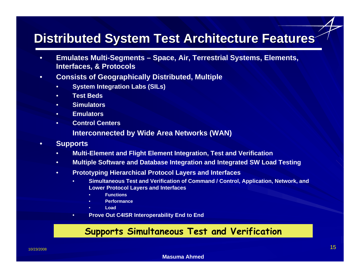## **Distributed System Test Architecture Features Distributed System Test Architecture Features**

- • **Emulates Multi-Segments – Space, Air, Terrestrial Systems, Elements, Interfaces, & Protocols**
- • **Consists of Geographically Distributed, Multiple** 
	- •**System Integration Labs (SILs)**
	- •**Test Beds**
	- •**Simulators**
	- •**Emulators**
	- •**Control Centers**

**Interconnected by Wide Area Networks (WAN)**

- • **Supports** 
	- •**Multi-Element and Flight Element Integration, Test and Verification**
	- $\bullet$ **Multiple Software and Database Integration and Integrated SW Load Testing**
	- • **Prototyping Hierarchical Protocol Layers and Interfaces**
		- • **Simultaneous Test and Verification of Command / Control, Application, Network, and Lower Protocol Layers and Interfaces** 
			- •**Functions**
			- •**Performance**
			- •**Load**
		- •**Prove Out C4ISR Interoperability End to End**

#### **Supports Simultaneous Test and Verification**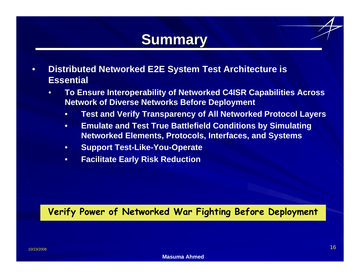# **Summary Summary**

- • **Distributed Networked E2E System Test Architecture is Essential**
	- • **To Ensure Interoperability of Networked C4ISR Capabilities Across Network of Diverse Networks Before Deployment**
		- •**Test and Verify Transparency of All Networked Protocol Layers**
		- • **Emulate and Test True Battlefield Conditions by Simulating Networked Elements, Protocols, Interfaces, and Systems**
		- •**Support Test-Like-You-Operate**
		- •**Facilitate Early Risk Reduction**

#### **Verify Power of Networked War Fighting Before Deployment**